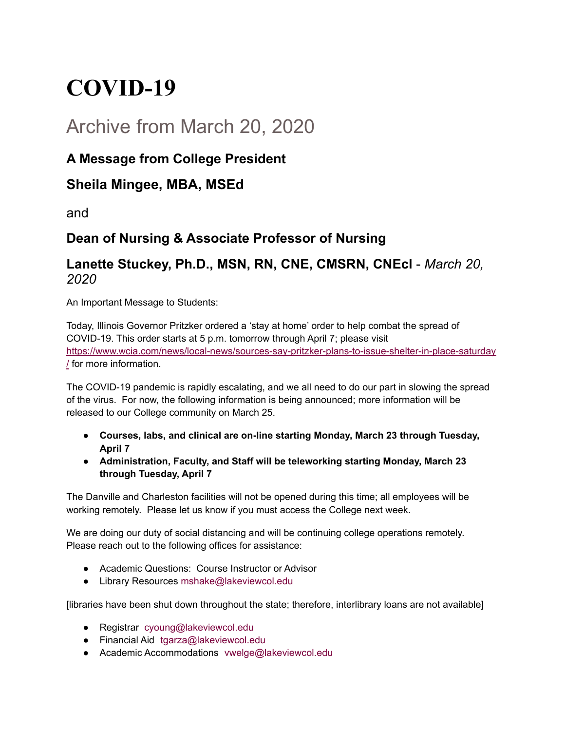# **COVID-19**

## Archive from March 20, 2020

### **A Message from College President**

#### **Sheila Mingee, MBA, MSEd**

and

## **Dean of Nursing & Associate Professor of Nursing**

#### **Lanette Stuckey, Ph.D., MSN, RN, CNE, CMSRN, CNEcl** - *March 20, 2020*

An Important Message to Students:

Today, Illinois Governor Pritzker ordered a 'stay at home' order to help combat the spread of COVID-19. This order starts at 5 p.m. tomorrow through April 7; please visit [https://www.wcia.com/news/local-news/sources-say-pritzker-plans-to-issue-shelter-in-place-saturday](https://www.wcia.com/news/local-news/sources-say-pritzker-plans-to-issue-shelter-in-place-saturday/) [/](https://www.wcia.com/news/local-news/sources-say-pritzker-plans-to-issue-shelter-in-place-saturday/) for more information.

The COVID-19 pandemic is rapidly escalating, and we all need to do our part in slowing the spread of the virus. For now, the following information is being announced; more information will be released to our College community on March 25.

- **Courses, labs, and clinical are on-line starting Monday, March 23 through Tuesday, April 7**
- **Administration, Faculty, and Staff will be teleworking starting Monday, March 23 through Tuesday, April 7**

The Danville and Charleston facilities will not be opened during this time; all employees will be working remotely. Please let us know if you must access the College next week.

We are doing our duty of social distancing and will be continuing college operations remotely. Please reach out to the following offices for assistance:

- Academic Questions: Course Instructor or Advisor
- Library Resources mshake@lakeviewcol.edu

[libraries have been shut down throughout the state; therefore, interlibrary loans are not available]

- Registrar cyoung@lakeviewcol.edu
- Financial Aid tgarza@lakeviewcol.edu
- Academic Accommodations vwelge@lakeviewcol.edu